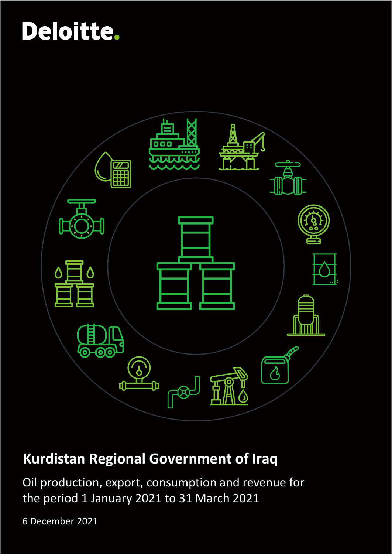

## **Kurdistan Regional Government of Iraq**

Oil production, export, consumption and revenue for the period 1 January 2021 to 31 March 2021

6 December 2021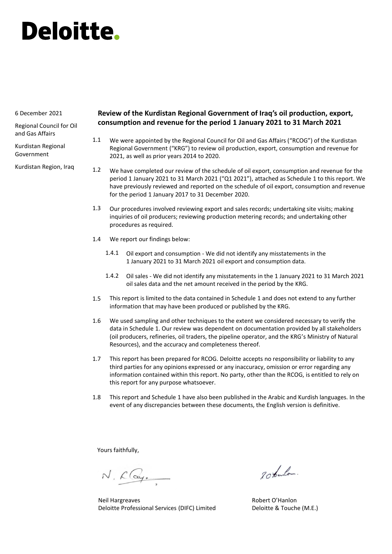#### 6 December 2021

Regional Council for Oil and Gas Affairs

Kurdistan Regional Government

Kurdistan Region, Iraq

#### **Review of the Kurdistan Regional Government of Iraq's oil production, export, consumption and revenue for the period 1 January 2021 to 31 March 2021**

- We were appointed by the Regional Council for Oil and Gas Affairs ("RCOG") of the Kurdistan Regional Government ("KRG") to review oil production, export, consumption and revenue for 2021, as well as prior years 2014 to 2020. 1.1
- We have completed our review of the schedule of oil export, consumption and revenue for the period 1 January 2021 to 31 March 2021 ("Q1 2021"), attached as Schedule 1 to this report. We have previously reviewed and reported on the schedule of oil export, consumption and revenue for the period 1 January 2017 to 31 December 2020. 1.2
- Our procedures involved reviewing export and sales records; undertaking site visits; making inquiries of oil producers; reviewing production metering records; and undertaking other procedures as required. 1.3
- We report our findings below: 1.4
	- Oil export and consumption We did not identify any misstatements in the 1 January 2021 to 31 March 2021 oil export and consumption data. 1.4.1
	- Oil sales We did not identify any misstatements in the 1 January 2021 to 31 March 2021 1.4.2 oil sales data and the net amount received in the period by the KRG.
- This report is limited to the data contained in Schedule 1 and does not extend to any further information that may have been produced or published by the KRG. 1.5
- We used sampling and other techniques to the extent we considered necessary to verify the data in Schedule 1. Our review was dependent on documentation provided by all stakeholders (oil producers, refineries, oil traders, the pipeline operator, and the KRG's Ministry of Natural Resources), and the accuracy and completeness thereof. 1.6
- This report has been prepared for RCOG. Deloitte accepts no responsibility or liability to any third parties for any opinions expressed or any inaccuracy, omission or error regarding any information contained within this report. No party, other than the RCOG, is entitled to rely on this report for any purpose whatsoever. 1.7
- This report and Schedule 1 have also been published in the Arabic and Kurdish languages. In the event of any discrepancies between these documents, the English version is definitive. 1.8

Yours faithfully,

N. Clay.

Neil Hargreaves Deloitte Professional Services (DIFC) Limited

20 tanlos.

Robert O'Hanlon Deloitte & Touche (M.E.)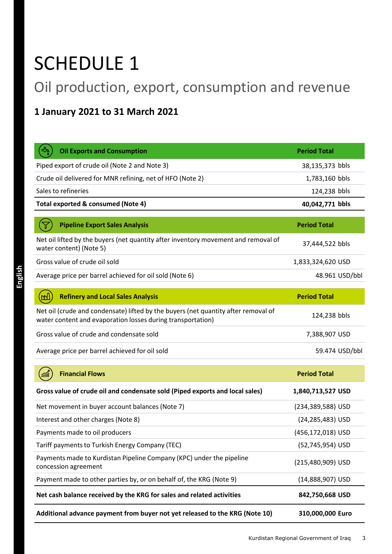## SCHEDULE 1

## Oil production, export, consumption and revenue

### **1 January 2021 to 31 March 2021**

| <b>Oil Exports and Consumption</b>                                                                                                                | <b>Period Total</b> |
|---------------------------------------------------------------------------------------------------------------------------------------------------|---------------------|
| Piped export of crude oil (Note 2 and Note 3)                                                                                                     | 38,135,373 bbls     |
| Crude oil delivered for MNR refining, net of HFO (Note 2)                                                                                         | 1,783,160 bbls      |
| Sales to refineries                                                                                                                               | 124,238 bbls        |
| Total exported & consumed (Note 4)                                                                                                                | 40,042,771 bbls     |
| <b>Pipeline Export Sales Analysis</b>                                                                                                             | <b>Period Total</b> |
| Net oil lifted by the buyers (net quantity after inventory movement and removal of<br>water content) (Note 5)                                     | 37,444,522 bbls     |
| Gross value of crude oil sold                                                                                                                     | 1,833,324,620 USD   |
| Average price per barrel achieved for oil sold (Note 6)                                                                                           | 48.961 USD/bbl      |
|                                                                                                                                                   |                     |
| <b>Refinery and Local Sales Analysis</b>                                                                                                          | <b>Period Total</b> |
| Net oil (crude and condensate) lifted by the buyers (net quantity after removal of<br>water content and evaporation losses during transportation) | 124,238 bbls        |
| Gross value of crude and condensate sold                                                                                                          | 7,388,907 USD       |
| Average price per barrel achieved for oil sold                                                                                                    | 59.474 USD/bbl      |
| <b>Financial Flows</b>                                                                                                                            | <b>Period Total</b> |
| Gross value of crude oil and condensate sold (Piped exports and local sales)                                                                      | 1,840,713,527 USD   |
| Net movement in buyer account balances (Note 7)                                                                                                   | (234,389,588) USD   |
| Interest and other charges (Note 8)                                                                                                               | (24,285,483) USD    |
| Payments made to oil producers                                                                                                                    | (456,172,018) USD   |
| Tariff payments to Turkish Energy Company (TEC)                                                                                                   | (52,745,954) USD    |
| Payments made to Kurdistan Pipeline Company (KPC) under the pipeline<br>concession agreement                                                      | (215,480,909) USD   |
| Payment made to other parties by, or on behalf of, the KRG (Note 9)                                                                               | (14,888,907) USD    |
| Net cash balance received by the KRG for sales and related activities                                                                             | 842,750,668 USD     |
| Additional advance payment from buyer not yet released to the KRG (Note 10)                                                                       | 310,000,000 Euro    |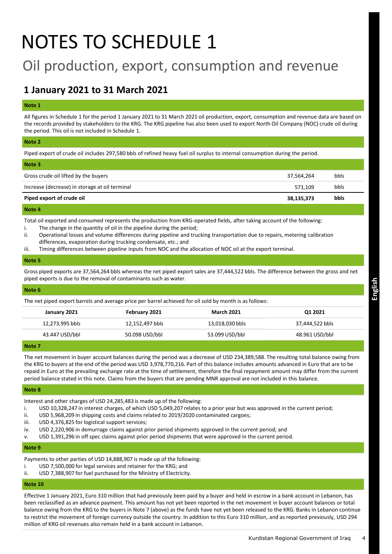## NOTES TO SCHEDULE 1

### Oil production, export, consumption and revenue

### **1 January 2021 to 31 March 2021**

#### **Note 1**

All figures in Schedule 1 for the period 1 January 2021 to 31 March 2021 oil production, export, consumption and revenue data are based on the records provided by stakeholders to the KRG. The KRG pipeline has also been used to export North Oil Company (NOC) crude oil during the period. This oil is not included in Schedule 1.

#### **Note 2**

Piped export of crude oil includes 297,580 bbls of refined heavy fuel oil surplus to internal consumption during the period.

| Note 3                                         |            |             |
|------------------------------------------------|------------|-------------|
| Gross crude oil lifted by the buyers           | 37,564,264 | bbls        |
| Increase (decrease) in storage at oil terminal | 571.109    | bbls        |
| Piped export of crude oil                      | 38,135,373 | <b>bbls</b> |
|                                                |            |             |

#### **Note 4**

Total oil exported and consumed represents the production from KRG-operated fields, after taking account of the following:

- i. The change in the quantity of oil in the pipeline during the period;
- ii. Operational losses and volume differences during pipeline and trucking transportation due to repairs, metering calibration differences, evaporation during trucking condensate, etc.; and
- iii. Timing differences between pipeline inputs from NOC and the allocation of NOC oil at the export terminal.

#### **Note 5**

Gross piped exports are 37,564,264 bbls whereas the net piped export sales are 37,444,522 bbls. The difference between the gross and net piped exports is due to the removal of contaminants such as water.

#### **Note 6**

The net piped export barrels and average price per barrel achieved for oil sold by month is as follows:

|                | January 2021    | February 2021   | <b>March 2021</b> | Q1 2021         |
|----------------|-----------------|-----------------|-------------------|-----------------|
|                | 12,273,995 bbls | 12,152,497 bbls | 13,018,030 bbls   | 37,444,522 bbls |
|                | 43.447 USD/bbl  | 50.098 USD/bbl  | 53.099 USD/bbl    | 48.961 USD/bbl  |
| <b>Allaham</b> |                 |                 |                   |                 |

**Note 7**

The net movement in buyer account balances during the period was a decrease of USD 234,389,588. The resulting total balance owing from the KRG to buyers at the end of the period was USD 3,978,770,216. Part of this balance includes amounts advanced in Euro that are to be repaid in Euro at the prevailing exchange rate at the time of settlement, therefore the final repayment amount may differ from the current period balance stated in this note. Claims from the buyers that are pending MNR approval are not included in this balance.

#### **Note 8**

Interest and other charges of USD 24,285,483 is made up of the following:

- i. USD 10,328,247 in interest charges, of which USD 5,049,207 relates to a prior year but was approved in the current period;
- ii. USD 5,968,209 in shipping costs and claims related to 2019/2020 contaminated cargoes;
- iii. USD 4,376,825 for logistical support services;
- iv. USD 2,220,906 in demurrage claims against prior period shipments approved in the current period; and
- v. USD 1,391,296 in off spec claims against prior period shipments that were approved in the current period.

#### **Note 9**

Payments to other parties of USD 14,888,907 is made up of the following:

- i. USD 7,500,000 for legal services and retainer for the KRG; and<br>ii. USD 7.388.907 for fuel purchased for the Ministry of Electricity
- USD 7,388,907 for fuel purchased for the Ministry of Electricity.

#### **Note 10**

Effective 1 January 2021, Euro 310 million that had previously been paid by a buyer and held in escrow in a bank account in Lebanon, has been reclassified as an advance payment. This amount has not yet been reported in the net movement in buyer account balances or total balance owing from the KRG to the buyers in Note 7 (above) as the funds have not yet been released to the KRG. Banks in Lebanon continue to restrict the movement of foreign currency outside the country. In addition to this Euro 310 million, and as reported previously, USD 294 million of KRG oil revenues also remain held in a bank account in Lebanon.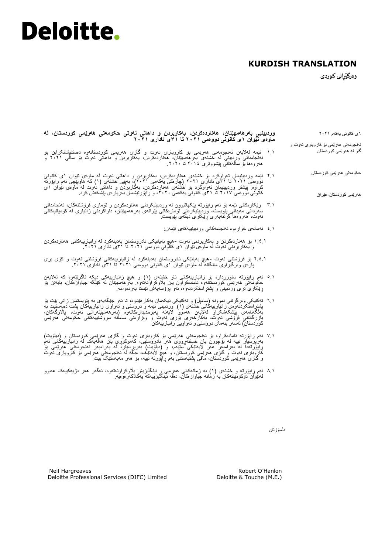### **KURDISH TRANSLATION**

**وەرگێڕانى كوردی** 

هەرێمی کوردستان-عێراق

٦ی کانونی یەکەم ۲۰۲۱ ئەنجومەنی هەرێمی بۆ کاروباری نەوت و گاز لە هەرێمی کوردستان حکومەتی هەرێمی کوردستان **وردبینیی بەرهەمهێنان، هەناردەکردن، بەکاربردن و داهاتی نەوتی حکومەتی هەرێمی کوردستان، لە ماوەی نێوان 1ى کانونی دووەمی ٢٠٢1 تا 31ى ئاداری ٢٠٢1** ۱.۱ ئێمە لەالیەن ئەنجومەنی هەرێمی بۆ كاروبارى نەوت و گازی هەرێمی کوردستانەوە دەستنیشانکراین بۆ ئەنجامدانی وردبینی لە خشتەی بەرهەمهێنان، هەناردەکردن، بەکاربردن و داهاتی نەوت بۆ ساڵی ۲۰۲۱ و هەروەها بۆ ساڵەكانی پێشووتری ۲۰۱4 تا .۲۰۲۰

۲.۱ ئێمە وردبینیمان تەواوكرد بۆ خشتەی هەناردەکردن، بەکاربردن و داهاتی نەوت لە ماوەی نێوان ۱ى کانونی دووەمی ۲۰۲۱ تا 3۱ى ئاداری ۲۰۲۱ )چارەكی یەکەمی ۲۰۲۱(، بەپێى خشتەی )۱( كە هاوپێچی ئەم راپۆرتە کراوە. پێشتر وردبینیمان تەواوكرد بۆ خشتەی هەناردەكردن، بەكاربردن و داهاتی نەوت لە ماوەی نێوان ۱ى کانونی دووەمی ۲۰۱7 تا 3۱ى کانونی یەکەمی ،۲۰۲۰ و ڕاپۆرتیشمان دەربارەی پێشکەش کرد.

- 3.۱ ڕێکارەکانی ئێمە بۆ ئەم ڕاپۆرتە پێکهاتبوون لە وردبینیکردنی هەناردەکردن و تۆماری فرۆشتنەکان، ئەنجامدانی سەردانی مەیدانی پێویست، وردبینیکردنی تۆمارەکانی پێوانەی بەرهەمهێنان، داواكردنى زانیارى لە کۆمپانیاکانی نەوت، هەروەها گرتنەبەری ڕێکاری دیكەى پێویست.
	- 4.۱ ئەمانەی خوارەوە ئەنجامەکانی وردبینییەکەی ئێمەن:
- ۱.4.۱ بۆ هەناردەکردن و بەکاربردنی نەوت -هیچ بەیانێکی نادروستمان بەدینەکرد لە زانیارییەکانی هەناردەکردن و بەکاربردنی نەوت لە ماوەی نێوان ۱ى کانونی دووەمی ۲۰۲۱ تا 3۱ى ئاداری .۲۰۲۱
- ۲.4.۱ بۆ فرۆشتنی نەوت -هیچ بەیانێکی نادروستمان بەدینەکرد لە زانیارییەکانی فرۆشتنی نەوت و کۆی بڕی پارەی وەرگیراوی مانگانە لە ماوەی نێوان ۱ى کانونی دووەمی ۲۰۲۱ تا ۳۱ى ئادارى ۲۰۲۱.
- 5.۱ ئەم ڕاپۆرتە سنووردارە بۆ زانیارییەکانی ناو خشتەی )۱( و هیچ زانیارییەکی دیکە ناگرێتەوە کە لەالیەن حکومەتی ھەرێمی کوردستانـەوە ئامادەکراون یان بلاوکراونـەتـەوە. بـەرھەممهێنان لـه کێلگە جیاوازەکان، بـابـەتن بۆ ڕێکاری تری وردبینی و پشتڕاستکردنەوە، ئەو پرۆسەیەش ئێستا بەردەوامە.
- ٦.۱ تەکنیکی وەرگرتنی نموونە )سامپڵ( و تەکنیکی دیکەمان بەکارهێناوە، تا ئەو جێگەیەی بە پێویستمان زانی بێت بۆ پشتر استکردنـموءی زانـیارییـهکانـی خشتهءی (۱)<sub>.</sub> وردبینـی ئێمه و دروستـی و تـمواوی زاننیارییبهکان پشت دەپـمستێت به بەڵگەنامەی پێشکەشکراو لەالیەن هەموو الیەنە پەیوەندیدارەکانەوە )بەرهەمهێنەرانی نەوت، پااڵوگەکان، بازرگانانی فرۆشى نەوت، بەکارخەری بۆری نەوت و وەزارەتی سامانە سروشتییەکانی حکومەتی هەرێمی کوردستان) لەسەر بنەمای دروستى و تەواويى زانيارييەكان.
- 7.۱ ئەم ڕاپۆرتە ئامادەکراوە بۆ ئەنجومەنی هەرێمی بۆ كاروبارى نەوت و گازی هەرێمی کوردستان و )دیلۆیت( بەرپرسیار نییه له بۆچوون یان خستنەرووی هەر نادروستیی، کەموکوری یان هالمەیک له زانیارییەکانی ئەم<br>راپزرتەدا له بەرامبەر هەر لایەننکی سنیەم، و (دیلزیت) بەرپرسیاره له بەرامبەر ئەنجومەنی هەربمی بۆ كاروبارى نەوت و گازی هەرێمی کوردستان، و هیچ الیەنێک، جگە لە ئەنجومەنی هەرێمی بۆ كاروبارى نەوت و گازی هەرێمی کوردستان، مافی پشتبەستنی بەم ڕاپۆرتە نییە، بۆ هەر مەبەستێک بێت.
- 8.۱ ئەم ڕاپۆرتە و خشتەی )۱( بە زمانەکانی عەرەبی و ئینگلیزیش باڵوکراونەتەوە، ئەگەر هەر دژیەکییەک هەبوو لەنێوان دۆکۆمێنتەکان بە زمانە جیاوازەکان، دەقە ئینگلیزییەکە یەکالکەرەوەیە.

دڵسۆزتان

Robert O'Hanlon Deloitte & Touche (M.E.)

Neil Hargreaves Deloitte Professional Services (DIFC) Limited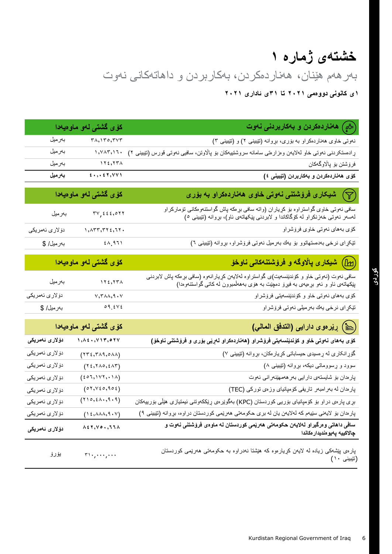## **خشتەی ژمارە 1**

بەرهەم هێنان، هەناردەکردن، بەکاربردن و داهاتەكانى نەوت

**1ى کانونی دووەمی ٢٠٢1 تا 31ى ئاداری ٢٠٢1**

|                                 | کۆی گشتی لەو ماوەيەدا                                                                                               | هاناردهکردن و بامکارپردنی ناموت $\left(\vec{\mathcal{E}}\right)$                                                                                                                                   |
|---------------------------------|---------------------------------------------------------------------------------------------------------------------|----------------------------------------------------------------------------------------------------------------------------------------------------------------------------------------------------|
| بەرمىل                          | $\mathsf{r}_{\lambda,1}\mathsf{r}_{\circ},\mathsf{r}_{\vee}\mathsf{r}$                                              | نهوتی خاوی هخاردهکراو به بۆری، بړوانه (تێیینی ۲) و (تێیینی ۳)                                                                                                                                      |
| بەرمىل                          | $\langle \rangle, \forall \land \tau, \land \tau$ .                                                                 | ړادهستکردنی نەوتی خاو لەلايەن وەزارەتی سامانە سروشتىيەكان بۆ پالاوتن، سافيي نەوتى قورس (تټيبنى ٢)                                                                                                  |
| بەرمىل                          | 115,577                                                                                                             | فرۆشتن بۆ پالاوگەكان                                                                                                                                                                               |
| بەرمىل                          | $\epsilon$ , , , $\epsilon$ $\tau$ , $\gamma$ $\gamma$ $\gamma$                                                     | كۆى ھەناردەكردن و بەكارېردن (تێبينى ٤)                                                                                                                                                             |
|                                 |                                                                                                                     |                                                                                                                                                                                                    |
|                                 | <mark>كۆى گشتى لە</mark> و ماوەيەدا                                                                                 | شىيكارى فرۆشتنى نەوتى خاوى ھەناردەكراو بە بۆرى $(\overline{\gamma})$                                                                                                                               |
| بەرمىل                          | $\forall y, \xi \xi, \delta \forall \xi$                                                                            | سافی نەوتی خاوی گواستراوه بۆ كړياران (واته سافی بړهكه پاش گواستنەومكانی تۆماركراو<br>لەسەر نەوتی خەزنكراو لە كۆگاكاندا و لابردنی پێكهاتەی ئاو)، بړوانه (تێبينی ㅇ)                                  |
| د <i>ۆ</i> لارى ئەمريكى         | $, \lambda$ rr, rr $, \lambda$ rr.                                                                                  | كۆي بەھاي نەوتى خاوي فرۆشراو                                                                                                                                                                       |
| بەرمىل/ \$                      | $\epsilon \wedge 971$                                                                                               | نێکړای نرخی بهدهستهاتوو بۆ پهك بەرمیل نەوتى فرۆشراو، بړوانه (نێبینی ٦)                                                                                                                             |
|                                 |                                                                                                                     |                                                                                                                                                                                                    |
|                                 | <mark>كۆى گشتى لەو ماوەيەدا</mark>                                                                                  | (b1)) شیکاری پالاوگه و فروشتنهکان <i>ی</i> ناوخو                                                                                                                                                   |
| بەرمىل                          | 115,577                                                                                                             | سافی نـهوت (نـهوتـی خاو و کوندێنسـهیت)ی گواسنراوه لـهلایـهن کړیـارانـهوه (سافـی بړـهکه پاش لابردنـی<br>پێکـهاتـهی نـاو و نـهو بړهیـهی بـه فیږنی دمچێت بـه هوّی بـههلمبوون لـه کـاتـی گواسنتـهوهدا) |
| دۆلارى ئەمرىكى                  | $v, r \lambda \lambda, q \cdot v$                                                                                   | کۆي بەھاي نەوتى خاو و كۆندێنسەيتى فرۆشراو                                                                                                                                                          |
| بەرمىل/ \$                      | $\circ$ 9 $\leq$ Y $\leq$                                                                                           | تیکړای نرخی یهك بەرمیلی نەوتى فرۆشراو                                                                                                                                                              |
|                                 | كۆى گشتى لەو ماوەيەدا                                                                                               | (أ) رِيْر دوى دارايي (التدفق المعالي)                                                                                                                                                              |
| دۆلار ئ ئەمريكى                 | $, \lambda \in \cdot \, , \forall \, \texttt{\textbackslash} \, \texttt{\textbackslash} \, \texttt{\textbackslash}$ | كۆى بەھاى نەوتى خاو و كۆندېنسەيتى فرۆشراو (ھەناردەكراو لەريى بۆرى و فرۆشتنى ناوخۆ)                                                                                                                 |
| دۆلارى ئەمرېكى                  | $(YY\xi,Y\lambda\vartheta,\circ\lambda\lambda)$                                                                     | گۆړ انکاری له ړهسیدی حیساباتی کړیار مکان، بړوانه (تیبینی ۷)                                                                                                                                        |
| دۆلارى ئەمريكى                  | $(Y \xi, Y \wedge \circ, \xi \wedge Y)$                                                                             | سوود و ړسووماتی دیکه، بړوانه (نټيبينی ۸)                                                                                                                                                           |
| دۆلارى ئەمرىكى                  | (201,111,111)                                                                                                       | پاردان بۆ شايستەي دارايى بەرھەمھێنەرانى نەوت                                                                                                                                                       |
| دۆلارى ئەمرېكى                  | (07, 56, 902)                                                                                                       | پارەدان له بىرامبىر تاريفى كۆمپانياي وزەي توركى (TEC)                                                                                                                                              |
| دۆلار <i>ی</i> ئە <i>مر</i> ىكى | (110, 211, 111)                                                                                                     | بړی پارەی دراو بۆ كۆمپانيای بۆريى كوردستان (KPC) بەگوێرەی ړێككەوتنى ئيمتيازى هێڵى بۆربيېەكان                                                                                                       |
| دۆلارى ئەمرېكى                  | $(1\xi, \lambda\lambda\lambda, 9 \cdot Y)$                                                                          | پاردان بۆ لايەنى سێيەم كە لەلايەن يان لە برى حكومەتى ھەرێمى كوردستان دراوە، بړوانە (نێيينى ٩)                                                                                                      |
| دۆلار ئ ئەمريكى                 | $\wedge$ $\epsilon$ $\wedge$ , $\vee$ $\circ$ $\cdot$ , $\wedge$ $\wedge$                                           | سافی داهاتی و مرگیر او لهلایهن حکومهتی ههریمی کوردستان له ماوهی فروشنتی نهوت و<br>چالاكييه پەيو ەنديدار ەكاندا                                                                                     |
| يۆرۆ                            | $r_1, \ldots, \ldots$                                                                                               | پارەی پێشەکی زیادە لە لایەن کړیارەوە کە ہێشتا نەدراوە بە حکومەتی ھەرێمی کوردستان<br>(تيبينى ١٠)                                                                                                    |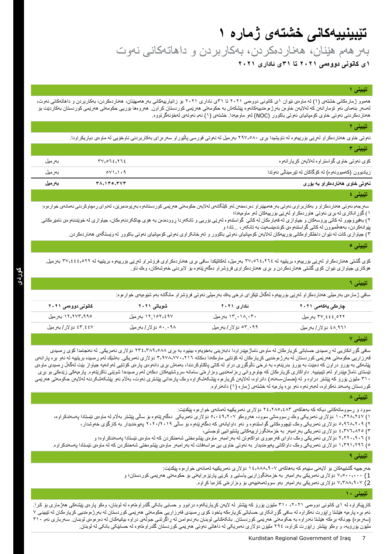### **تێبینییەكانی خشتەی ژمارە 1 1ى کانونی دووەمی ٢٠٢1 تا 31ى ئاداری ٢٠٢1** بەرهەم هێنان، هەناردەکردن، بەکاربردن و داهاتەكانى نەوت

#### **تێبینی 1**

هەموو ژمارەکانی خشتەی (۱) له ماوەی نێوان ۱ی کانونی دووممی ۲۰۲۱ تا ۳۱ی ئاداری ۲۰۲۱ بۆ زانیارییەکانی بەرهەمهێنان، هەناردەکردن، بەکاربردن و داهاتەکانی نەوت، لەسەر بنەمای ئەو تۆمارانەن كە لەلايەن خاوەن بەرژەومندىيەكانەوە پێشكەش مەرقىي كوردستان كراون. ھەروەھا بۆرپی حكومەتی ھەرپمی كوردستان بەكاردێت بۆ هەناردەكردنی نەوتی خاوی كۆمپانیای نەوتی باكوور )NOC )لەو ماوەیەدا. خشتەی )۱( ئەم نەوتەی لەخۆنەگرتووە.

#### **تێبینی ٢**

نەوتی خاوی هەناردەكراو لەرپی بۆربیەوە لە ناویشیدا بری ۲۹۷٫۰۸۰ بەرمیل لە نەوتی قورسی پالیوراو سەرەرای بەكاربردنی ناوخۆیی لە ماوەی دیاریكراودا.

|                                             | تێیینی ۳ |
|---------------------------------------------|----------|
| كۆي نەوتى خاوي گواستراوه لەلايەن كړيارانەوه |          |

| .                                                      |                            |         |
|--------------------------------------------------------|----------------------------|---------|
| زيادبوون (كەمبوونەوە) لە كۆگاكان لە تټرمينالْمى نەوتدا | $0 \vee 1 \cdot 1 \cdot 9$ | بەر مېل |
| لەوت <i>ى</i> خاوى ھەناردەكراو بە بۆرى                 | ۳۸٬۱۳۵٬۳۷۳                 | بەرمىل  |

#### **تێبینی ٤**

سەرجەم نەوتی هەناردەكراو و بەكاربراوی نەوتی بەر ھەمهێنراو دەردەخەن لەكلىك كەركەن كەردىستانەو مەرپور دەبريزن، لەدوای رەچلوكردنی ئەمانەی خوارەوە: ١( گۆڕانکاری لە بڕی نەوتی هاوردەکراو لەڕێی بۆرییەکان لەو ماوەیەدا؛

٢) بەفیرۆچوو لە کاتی پرۆسەکان و جیاوازی لە قەبارەکان لە کاتی گواستنەوە لەرپی و تانکەردا روودەدەن بە هۆی چاککردنەوەکان، جیاوازی لە خوێندنەوەی ئامێرەکانی پێوانەکردن، بەهەڵمبوون لە کاتی گواستنەوەی کۆندەینسەیت بە تانکەر، ...تاد؛ و

٣) جیاوازی كات له نێوان داخلكراومكاني بۆرييەكان لەلايەن كۆمپانیای نەوتی راكىتىكى كۆمپان بوتی كۈمپانیای نەوتی باكوور لە وێستگەی هەناردەكردن.

#### **تێبینی ٥**

کۆی گشتی هەناردەكراو لەړنى بۆرييەوە بریتییە لە ٢٧,٥٦٤,٢٦٤ بەرمیل، لەكاتێكدا سافی بړی هەناردەكراوی فرۆشراو لەڕێی بۆربیەوە بریتییە لە 7٧,٤٤٤,٥٢٢ بەرمیل. هۆکاری جیاوازی نێوان كۆی گشتی هەناردەكردن و بڕی هەناردەکراوی فرۆشراو دەگەڕێتەوە بۆ البردنی خەوشەكان، وەك ئاو.

#### **تێبینی ٦**

سافی ژمارەی بەرمیلى هەناردەکراو لەڕێی بۆرییەوە لەگەڵ تێكڕای نرخى یەك بەرمیلی نەوتی فرۆشراو مانگانە بەم شێوەیەی خوارەوە:

| کانونی دوو ممی ۲۰۲۱ | شوباتی ۲۰۲۱        | ئادارى ۲۰۲۱         | چار ەكى يەكەمى ٢٠٢١                                    |
|---------------------|--------------------|---------------------|--------------------------------------------------------|
| ١٢,٢٧٣,٩٩٥ بەرمىل   | ١٢,١٥٢,٤٩٧ بەرمىل  | ۱۳٬۰۱۸٬۰۳۰ بەرمىل   | ۳۷٬٤٤٤٫٥٢٢ بەرمىل                                      |
| ٤٣.٤٤٧ دۆلار/بەرمىل | ۰۰۰۹۸ دۆلار/بەرمىل | ۰۹۹.۳۰ دۆلار/بەرمېل | ٤٨.٩٦١ دۆلار/بەرمېل                                    |
|                     |                    |                     | the second company of the second company of the second |

**تێبینی 7**

سافی گزرِ انکاریی له رِمسیدی حساباتی كرِیار مکان له ماومی ناماژمپیراودا دابمزینی بهنویوه به بری ۲۴٫۳۸۹٫۰۸۸ دۆلاری ئەمریکی. له ئەنجامدا كۆی رِ مسیدی قەرزاریی حكومەتی هەرټمی كوردستان لە بەرژەومندیی كړیارمكان لە كۆتایی ماومكەدا دەكاتە 3,978,۲٫۹۷۸,۲۷۰ دۆلارى ئەسرىكى. بەشنىڭ لەم روسیدە بریتییە لە ئەو برە پارانەی پێشەكی به یۆرۆ دراون كه دەبێت به یۆرۆ بدرێنەو بە نرخی ئاڵوگۆردن باکتاوكردندا، بەمەش بری دانەوەی پارەی كۆتایی لەوانەیە جیاواز بێت لەگەڵ رەسیدی ماوەی ئیستای ئاماژمپێدراو لەم تێبینییه. داواكاری كړیارمكان كە چاوەروانی رەزارەتی سامانە سروشتییەكان دمكەن لەم رەسىددا شوێنی ناكرێتەوه. پارميەكی زێدمكی بو بړی . ۳۱ ملیۆن یۆرۆ کە پێشتر دراوە و لە (ضمان-سەنەد) دانراوە، لەلایەن کړیارەو، پیشکەشکراوە وەک پارەدانى پیشکەشکراوندان بولسكىشکرىدنە لەللايەن حکومەتی ھەرپمی کوردستان پەسەند نەکراوە، لەبەرئەوە ئەو بڕە پارەیە لە خشتەی ژمارە )۱( دانەنراوە.

#### **تێبینی ٨**

سوود و ڕسووماتەكانی دیکە كە بەهاكەی ۲4,۲85,483 دۆالری ئەمریكییە لەمانەی خوارەوە پێكدێت:

- ۱) ۱۰٫۳۲۸٫۲٤ دۆلاری ئەمریکی وەك ڕسووماتى سوود، هەروەکو ۰٫۰٤٩٫۲۰۷ دۆلاری ئەمریکی دەگەڕێتەوە بۆ ساڵی پێشتر بەڵام لە ماوەی ئێستادا پەسەندکراوە،
	- ۲( 5,9٦8,۲۰9 دۆالری ئەمریکی وەک تێچووەکانی گواستنەوە و ئەو داوایانەی کە دەگەڕێنەوە بۆ ساڵی ۲۰۲۰/۲۰۱9 پەیوەندیدار بە کارگۆی خەوشدار،
		- 3( 4,37٦,8۲5 دۆالری ئەمریكی بەرامبەر بە خزمەتگوزارییەکانی پشتیوانیی لۆجستی،
		- 4( ۲,۲۲۰,9۰٦ دۆالری ئەمریكی وەک داوای قەرەبووی دواکەوتن لە بەرامبەر ماوەی پێشوەختی شەحنكردن کە لە ماوەی ئێستادا پەسەندکراوە؛ و
- 6) ۱,۳۹۱,۲۹۲ دۆلاری ئەمریکی ومک داواکانی پەیوەندیدار به نەوتی خاوی بیّ مواسەفات لە بەرامبەر ماوەی پێشوەختی شەحنكردن کە لە ماوەی ئێستادا پەسەندکراوە.

#### **تێبینی ٩**

- خەرجییە گشتییەکان بۆ لایەنی سێیەم كە بەھاكەی ۱،۸۸۸٫۹۰۷ دۆلاری ئەمریكییە لەمانەی خوار وو پێكدێت:
- 1) 7,5۰۰,۰۰۰ دۆالری ئەمریكی بەرامبەر بە خزمەتگوزاریی یاسایی و کرێی پارێزەرایەتی بۆ حكومەتی هەرێمی كوردستان؛ و
	- 2) 7,388,9۰7 دۆالری ئەمریكی بەرامبەر بەو سووتەمەنییەی بۆ وەزارەتی كارەبا كڕاوە.

#### **تێبینی 1٠**

کارپێکراوە لە ۱ی کانونی دوومی ۲۰۲۱ ، ۳۱۰ ملیزن یۆرز کە پێشتر لە لایەن کړیاریکەو، درابوو و حسابی بانکی گلدراومتەو، لە لوبنان، ومکو پارەی پێشەکی هەژماری بۆ کرا. ئەم برە پارەیه هێشتا راپۆرت نەكراوە لە سافی گۆرانكاری حساباتی كړيارەکە لۇرى تەرزاریی حكومەتی ھەرپى كوردستان لە بەرژەومدیی كړیارەكان لە تێبینی 7 (سەرەوە) چونکە بړەکە هێشتا نەدراوە بە حکومەتی ھەرێمی کوردستان. بانکەکانی لوبنران لەپران تان باندان باندان لە دەرەوى لوبنان. سەرباری ئەم 3۱۰ ملیۆن یۆرۆیە، و وەکو پێشتر راپۆرت کراوە، ۲۹٤ ملیۆن دۆلاری ئەمریکی لە داهاتی نەوتی هەرێمی کوردستان گلدراوەتەوە لە حسابێکی بانکی لە لوبنان.

 $TV, 072, 772$  بەرمىل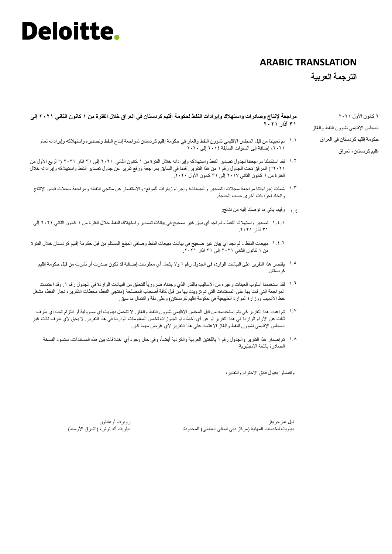### **ARABIC TRANSLATION**

#### **الترجمة العربية**

**مراجعة إلنتاج وصادرات واستهالك وإيرادات النفط لحكومة إقليم كردستان في العراق خالل الفترة من ١ كانون الثاني 202١ إلى ٣١ آذار 202١**

- تم تعییننا من قبل المجلس اإلقلیمي لشؤون النفط والغاز في حكومة إقلیم كردستان لمراجعة إنتاج النفط وتصدیره واستهالكە وإیراداتە لعام ۱.۱ ،٢٠٢١ إضافة إلى السنوات السابقة ٢٠١٤ إلى .٢٠٢٠
- ١٠٪ لقد استكملنا مراجعتنا لجدول تصدير النفط واستهلاكه وإيراداته خلال الفترة من ١ كانون الثاني ٢٠٢١ إلى ٣١ آذار ٢٠٢١ ("الربع الأول من ٢٠٢١"( المرفق تحت الجدول رقم ١ من هذا التقریر. قمنا في السابق بمراجعة ورفع تقریر عن جدول تصدیر النفط واستهالكە وإیراداتە خالل الفترة من ١ كانون الثاني ٢٠١٧ إلى ٣١ كانون األول .٢٠٢٠
- شملت إجراءاتنا مراجعة سجالت التصدیر والمبیعات؛ وإجراء زیارات للموقع؛ واالستفسار عن منتجي النفط؛ ومراجعة سجالت قیاس اإلنتاج ۱.3 واتخاذ إجراءات أخرى حسب الحاجة.
	- وفیما یأتي ما توصلنا إلیە من نتائج: ۱.4
- تصدیر واستهالك النفط لم نجد أي بیان غیر صحیح في بیانات تصدیر واستهالك النفط خالل الفترة من ١ كانون الثاني ٢٠٢١ إلى ۱.4.۱ ٣١ آذار .٢٠٢١
- مبیعات النفط لم نجد أي بیان غیر صحیح في بیانات مبیعات النفط وصافي المبلغ المستلم من قبل حكومة إقلیم كردستان خالل الفترة ۱.4.۲ ...<br>من ١ كانون الثاني ٢٠٢١ إلى ٣١ آذار ٢٠٢١.
	- یقتصر هذا التقریر على البیانات الواردة في الجدول رقم ١ وال یشمل أي معلومات إضافیة قد تكون صدرت أو نُشرت من قبل حكومة إقلیم ۱.5 كردستان.
- <sup>7, 1</sup> لقد استخدمنا أسلوب العينات وغيره من الأساليب بالقدر الذي وجدناه ضرورياً للتحقق من البيانات الواردة في الجدول رقم ١<sub>٠</sub> وقد اعتمدت المراجعة التي قمنا بها على المستندات التي تم تزویدنا بها من قبل كافة أصحاب المصلحة )منتجي النفط، محطات التكریر، تجار النفط، مشغل خط الأنابیب ووزارة الموارد الطبیعیة في حكومة إقلیم كردستان) وعلى دقة واكتمال ما سبق.
- <sup>۱٫۷</sup> تم إعداد هذا التقرير كي يتم استخدامه من قبل المجلس الإقليمي لشؤون النفط والغاز . لا تتحمل ديلويت أي مسؤولية أو التزام تجاه أي طرف ثالث عن اآلراء الواردة في هذا التقریر أو عن أي أخطاء أو تجاوزات تخص المعلومات الواردة في هذا التقریر. ال یحق ألي طرف ثالث غیر المجلس الإقلیمی لشؤون الّنفط والغاز الاعتماد علّمی هذا التقریر لأي غرض مهما كان.
	- ١٠٨ تم إصدار هذا التقرير والجدول رقم ١ باللغتين العربية والكردية أيضاً، وفي حال وجود أي اختلافات ببين هذه المستندات، ستسود النسخة الصادرة باللغة اإلنجلیزیة.

وتفضلوا بقبول فائق االحترام والتقدیر،

نیل هارجریفز ديلويت للخدمات المهنية (مركز دبي المالي العالمي) المحدودة

روبرت أوهانلون دیلویت آند توش، (الشرق الأوسط)

٦ كانون األول ٢٠٢١ المجلس اإلقلیمي لشؤون النفط والغاز حكومة إقلیم كردستان في العراق إقلیم كردستان، العراق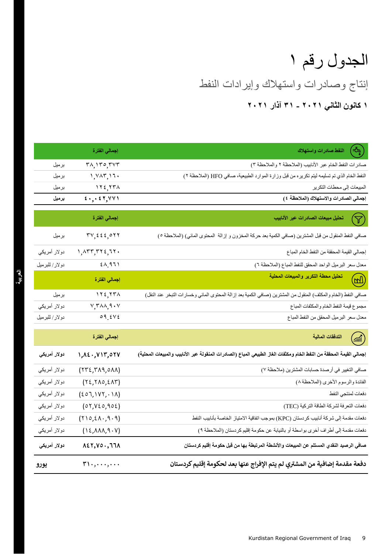# الجدول رقم ١

إنتاج وصادرات واستهالك وإیرادات النفط

**١ كانون الثاني 202١ - ٣١ آذار 202١**

|                | إ <mark>ج</mark> مالي الفترة                                                               | $\left(\frac{1}{2}a_{\alpha}\right)$<br>النفط صادرات واستهلاك                                                        |
|----------------|--------------------------------------------------------------------------------------------|----------------------------------------------------------------------------------------------------------------------|
| برميل          | $\mathsf{r}_{\lambda,1}\mathsf{r}_{\circ,\mathsf{r}\vee\mathsf{r}}$                        | صادرات النفط الخام عبر الأنابيب (الملاحظة ٢ والملاحظة ٣)                                                             |
| برميل          | 1, YAT, 17.                                                                                | النفط الخام الذي تم تسليمه ليتم تكريره من قبل وزارة الموارد الطبيعية، صافي HFO (الملاحظة ٢)                          |
| برميل          | 115,771                                                                                    | المبيعات إلى محطات التكرير                                                                                           |
| برميل          | $\epsilon$ ,, $\epsilon$ , $\gamma$                                                        | إجمالي الصادرات والاستهلاك (الملاحظة ٤)                                                                              |
|                | إ <mark>ج</mark> مالي الفترة                                                               | تحليل مبيعات الصادرات عبر الأنابيب<br>$\bm{\nabla}$                                                                  |
| برميل          | $\mathbf{r} \mathbf{v}, \mathbf{z} \mathbf{z}, \mathbf{z} \mathbf{y}$                      | صافي النفط المنقول من قبل المشترين (صافي الكمية بعد حركة المخزون و إزالة  المحتوى المائي) (الملاحظة ٥)               |
| دولار أمريكي   | $1, \Delta \mathbf{r} \mathbf{r}, \mathbf{r} \mathbf{r} \epsilon, \mathbf{r} \mathbf{r}$ . | إجمالي القيمة المحققة من النفط الخام المباع                                                                          |
| دولار/ للبرميل | 2A.971                                                                                     | معدل سعر البرميل الواحد المحقق للنفط المباع (الملاحظة ٦)                                                             |
|                | إ <mark>جمالي الفترة</mark>                                                                | تحليل محطة التكرير والمبيعات المحلية<br>$(\overline{w})$                                                             |
| برميل          | 115,554                                                                                    | صافي النفط (الخام والمكثف) المنقول من المشترين (صافي الكمية بعد إزالة المحتوى المائي وخسارات التبخر عند النقل)       |
| دولار أمريكي   | $V, T \wedge \wedge, 9 \cdot V$                                                            | مجموع قيمة النفط الخام والمكثفات المباع                                                                              |
| دولار/للبرميل  | 09.5Vt                                                                                     | معدل سعر البرميل المحقق من النفط المباع                                                                              |
|                | إجمالي الفترة                                                                              | التدفقات المالية<br>$\sqrt{m}$                                                                                       |
| دولار أمريكي   | 1, 12., 117, 071                                                                           | إجمالي القيمة المحققة من النفط الخام ومكثفات الغاز الطبيعي المباع (الصادرات المنقولة عبر الأنابيب والمبيعات المحلية) |
| دولار أمريكي   | (552, 549, 011)                                                                            | صافي التغيير في أرصدة حسابات المشترين (ملاحظة ٧)                                                                     |
| دولار أمريكي   | $(Y\xi, Y\Lambda o, \xi\Lambda Y)$                                                         | الفائدة والرسوم الأخرى (الملاحظة ٨)                                                                                  |
| دولار أمريكي   | $(207,1VY,-1A)$                                                                            | دفعات لمنتجي النفط                                                                                                   |
| دولار أمريكي   | (07,020,902)                                                                               | دفعات التعرفة لشركة الطاقة التركية (TEC)                                                                             |
| دولار أمريكي   | (110,21.9.9)                                                                               | دفعات مقدمة إلى شركة أنابيب كردستان (KPC) بموجب اتفاقية الامتياز الخاصة بأنابيب النفط                                |
| دولار أمريكي   | $(1\xi, \Lambda\Lambda\Lambda, \Im\cdot V)$                                                | دفعات مقدمة إلى أطراف أخرى بواسطة أو بالنيابة عن حكومة إقليم كردستان (الملاحظة ٩)                                    |
| دولار أمريكي   | $\lambda$ ٤٢,٧٥., ٦٦٨                                                                      | صافي الرصيد النقدي المستلم عن المبيعات والأنشطة المرتبطة بها من قبل حكومة إقليم كردستان                              |
| يورو           | $r_1, \ldots, \ldots$                                                                      | دفعة مقدمة إضافية من المشتري لم يتم الإفراج عنها بعد لحكومة إقليم كردستان                                            |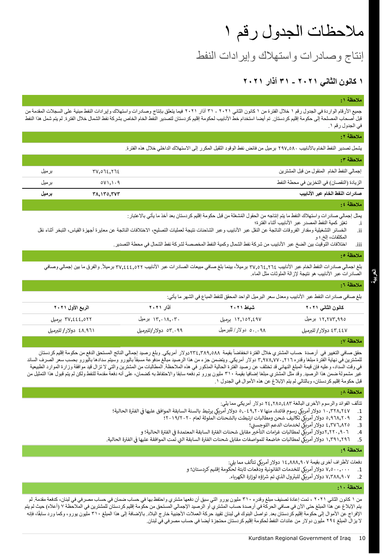## مالحظات الجدول رقم ١

إنتاج وصادرات واستهالك وإیرادات النفط

### **١ كانون الثاني 202١ - ٣١ آذار 202١**

#### **مالحظة :١**

جمیع الأرقام الواردة في الجدول رقم ١ خلال الفترة من ١ كانون الثاني ٢٠٢١ - ٣١ آذار ٢٠٢١ فيما يتعلق وسادرات واستهلاك وإيرادات النفط مبنية على السجلات المقدمة من قبل أصحاب المصلحة إلى حكومة إقلیم كردستان. تم أیضا استخدام خط الأنابیب لحكومة إقلیم كردستان لتصار الخاص الذصال فضل الشمال خلال الفترة. لم یتم شمل هذا النفط في الجدول رقم .١

### **مالحظة :2**

یشمل تصدیر النفط الخام باألنابیب 297,580 برمیل من فائض نفط الوقود الثقیل المكرر إلى االستهالك الداخلي خالل هذه الفترة.

| ملاحظة ٠٣                                  |                     |       |
|--------------------------------------------|---------------------|-------|
| إجمالي النفط الخام المنقول من قبل المشترين | <u>77,072,772</u>   | برميل |
| الزيادة (النقصان) في التخزين في محطة النفط | 0V1.1.9             | برميل |
| صادرات النفط الخام عبر الأنابيب            | <b>TA. 150. TVT</b> | برميل |

#### **مالحظة :4**

يمثل إجمالي صادر ات و استهلاك النفط ما یتم إنتاجه من الحقول المُشغلة من قبل حكومة إقلیم كر دستان بعد أخذ ما یأتي بالاعتبار :

- i. تغیّر كمیة النفط المصدر عبر األنابیب أثناء الفترة؛
- ii. الخسائر التشغيلية ومقدار الفروقات الناتجة عن النقل عبر الأنابيب وعبر الشاحنات نتيجة لعمليات النحنلافات الناتجة عن معايرة أجهزة القياس، التبخر أثناء نقل المكثفات، إلخ.؛ و
	- iii. اختالفات التوقیت بین الضخ عبر األنابیب من شركة نفط الشمال وكمیة النفط المخصصة لشركة نفط الشمال في محطة التصدیر.

#### **مالحظة :٥**

بلغ اجمالي صادرات النفط الخام عبر الأنابيب ٣٧,٥٦٤,٢٦٤ برميلاً، بينما بلغ صافي مبيعات الصادرات عبر الأنابيب ٣٧,٤٤٤,٥٢٢ برميلاً. والفرق ما بين إجمالي وصافي الصادرات عبر األنابیب هو نتیجة إلزالة الملوثات مثل الماء.

#### **مالحظة :6**

**العربیة**

بلغ صافي صادر ات النفط عبر الأنابيب ومعدل سعر البرميل الواحد المحقق للنفط المباع في الشهر ما يأتي:

| الربع الأول ٢٠٢١      | آذار ۲۰۲۰               | شىلط ٢٠٢١           | كانون الثاني ٢٠٢١     |
|-----------------------|-------------------------|---------------------|-----------------------|
| ۳۷,٤٤٤,٥٢٢ برميل      | ۱۳٫۰۱۸,۰۳۰ برمیل        | ۱۲٫۱۵۲٫٤۹۷ برمیل    | ١٢,٢٧٣,٩٩٥ برميل      |
| ٤٨.٩٦١ دولار/ للبرميل | ۰۹۹ ۲.۰۹۹ دولار/للبرمیل | ۰.۰۹۸ دولار/للبرميل | ٤٣.٤٤٧ دولار/ للبرميل |
|                       |                         |                     |                       |

#### **مالحظة :٧**

حقق صافي التغيير في أرصدة حساب المشتري خلال الفترة انخفاضاً بقيمة ٧٣٤,٣٨٩,٥٨٨دولار أمريكي. وبلغ رصيد إجمالي الناتج المستحق الدفع من حكومة إقليم كردستان للمشترين في نهاية الفترة مبلغا وقدره ٢,٩٧٨,٧٧٠,٢١٦ دولار أمريكي. ويتضمن جزء من هذا الرصيد مبالغ مسبقاً باليورو وسيتم سدادها باليورو بحسب سعر الصرف السائد في وقت السداد، وعلیه فإن قیمة المبلغ النهائي قد تختلف عن رصید الفترة الحالیة المذكور في هذه الملاحظة. المطالبات من المشترین والتي لا تزال قید موافقة وزارة الموارد الطبیعیة غیر مشمولة ضمن هذا الرصید. وقد مثل المشتري مبلغا إضافیا بقیمة ٣١٠ ملیون والحته والحتفاظ به كضمان، على أنه دفعة مقدمة للنفط ولكن لم يتم قبول هذا التمثيل من قبل حكومة إقليم كردستان، وبالتالي لم يتم الإبلاغ عن هذه الأموال في الجدول ١.

#### **مالحظة :٨**

تتألف الفوائد والرسوم األخرى البالغة 24,285,483 دوالر أمریكي مما یلي:

- يك .1 10,328,247 رسوم فائدة، منها دوالر أمري 5,049,207 ة الحالية؛ الفب <sup>ر</sup> يك يرتبط بالسنة السابقة الموافق عليها ف دوالر أمري ي ֦֧֢ׅ
	- يك .2 5,968,209 تكاليف شحن ومطالبات ارتبطت بالشحنات الملوثة لعام دوالر أمري 2019/2020؛
		- يك لخدمات الدعم اللوجسرت <sup>ي</sup> .<sup>3</sup> 4,376,825 ؛ دوالر أمري
	- .4 2,220,906 ة الحالية؛ و الفب <sup>ر</sup> ة السابقة المعتمدة ف يك لمطالبات غرامات التأخربمقابل شحنات الفب <sup>ر</sup> دوالر أمري ي ֧֦֧֦֧֦֧֦֧֦֧֦֧֦֧֦֧֦֧֚֬֜֜֓֓֡֜֜֜֜֜֜֞֓֡֬
- 5. ٢٩١,٢٩٦, دولار أمريكي لمطالبات خاضعة للمواصفات مقابل شحنات الفترة السابقة التي تمت الموافقة عليها في الفترة الحالية.<br>5. ٢٩١,٢٩٦, دولار أمريكي لمطالبات خاضعة للمواصفات مقابل شحنات الفترة السابقة التي تمت الم ي ֦֢֦֧֦֧֦֧֦֧֦֧֦֧֧֚֚֚֡֜֜֓֜ ي

#### **مالحظة :9**

دفعات لأطراف أخرى بقيمة ١٤,٨٨٨,٩٠٧ دولار أمريكي تتألف مما يلي:

- يك .1 7,500,000 للخدمات القانونية ودفعات ثابتة لحكومة إقليم كردستان؛ و دوالر أمري
	- ول الذي تم رش .2 7,388,907 اؤه لوزارة الكهرباء يك للبب <sup>ر</sup> دوالر أمري .

#### **مالحظة :١0**

من ١ كانون الثاني ٢٠٢١ ، تمت إعادة تصنيف مبلغ وقدره ٣١٠ مليون يورو التي سبق أن دفعها مشتري واحتفظ بها في حساب ضمان في حساب مصرفي في لبنان، كدفعة مقدمة. لم یتم الإبلاغ عن هذا المبلغ حتى الآن في صافي الحركة في أرصدة حساب المشتري أو الرصید الإجمالي المستحق من حكومة إقلیم كردستان للمشترین في الملاحظة ٧ (أعلاه) حیث لم يتم الإفراج عن الأموال إلى حكومة إقليم كردستان بعد. تواصل البنوك في لبنان تقييد حركة العملات الأجنبية خارج البلاد. بالإضافة إلى هذا المبلغ ٣١٠ مليون يورو، وكما ورد سابقًا، فإنه ال یزال المبلغ ٢٩٤ ملیون دوالر من عائدات النفط لحكومة إقلیم كردستان محتجزة أیضا في حساب مصرفي في لبنان.